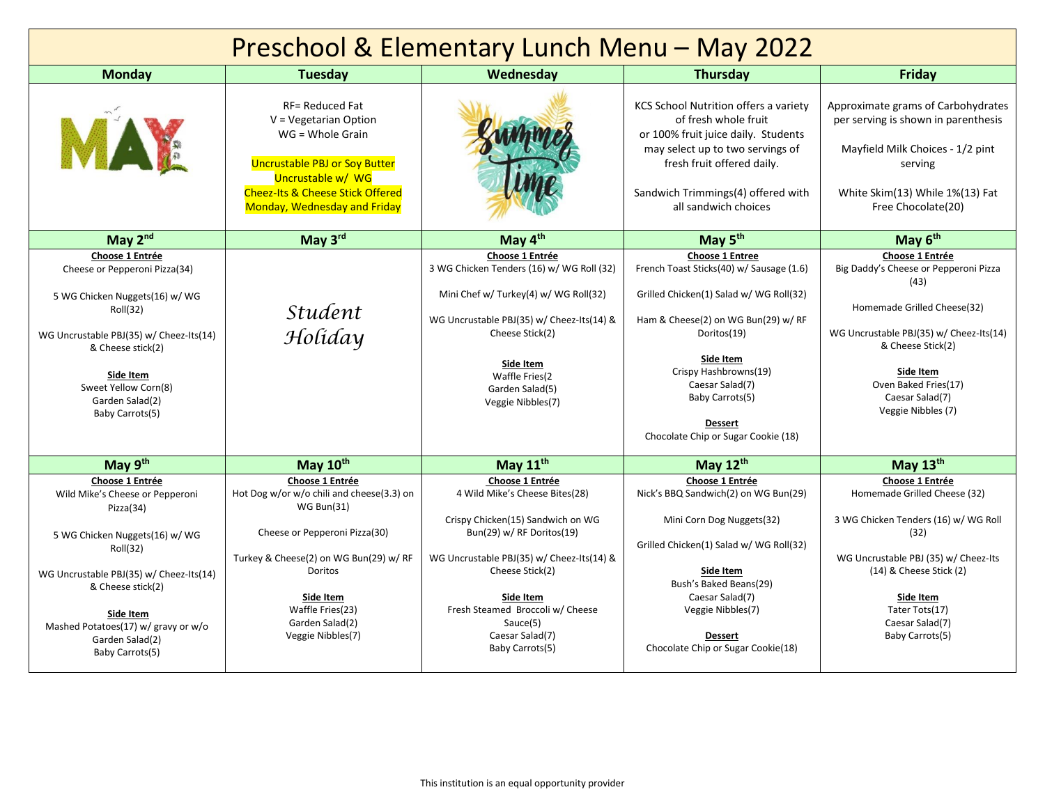| Preschool & Elementary Lunch Menu - May 2022                                                                                                                                                                                                                            |                                                                                                                                                                                                                                                  |                                                                                                                                                                                                                                                                                        |                                                                                                                                                                                                                                                                                                         |                                                                                                                                                                                                                                               |  |  |  |
|-------------------------------------------------------------------------------------------------------------------------------------------------------------------------------------------------------------------------------------------------------------------------|--------------------------------------------------------------------------------------------------------------------------------------------------------------------------------------------------------------------------------------------------|----------------------------------------------------------------------------------------------------------------------------------------------------------------------------------------------------------------------------------------------------------------------------------------|---------------------------------------------------------------------------------------------------------------------------------------------------------------------------------------------------------------------------------------------------------------------------------------------------------|-----------------------------------------------------------------------------------------------------------------------------------------------------------------------------------------------------------------------------------------------|--|--|--|
| <b>Monday</b>                                                                                                                                                                                                                                                           | <b>Tuesday</b>                                                                                                                                                                                                                                   | Wednesday                                                                                                                                                                                                                                                                              | <b>Thursday</b>                                                                                                                                                                                                                                                                                         | Friday                                                                                                                                                                                                                                        |  |  |  |
| MAE                                                                                                                                                                                                                                                                     | <b>RF= Reduced Fat</b><br>$V = Vegetarian Option$<br>$WG = Whole$ Grain<br><b>Uncrustable PBJ or Soy Butter</b><br>Uncrustable w/ WG<br><b>Cheez-Its &amp; Cheese Stick Offered</b><br><b>Monday, Wednesday and Friday</b>                       |                                                                                                                                                                                                                                                                                        | KCS School Nutrition offers a variety<br>of fresh whole fruit<br>or 100% fruit juice daily. Students<br>may select up to two servings of<br>fresh fruit offered daily.<br>Sandwich Trimmings(4) offered with<br>all sandwich choices                                                                    | Approximate grams of Carbohydrates<br>per serving is shown in parenthesis<br>Mayfield Milk Choices - 1/2 pint<br>serving<br>White Skim(13) While 1%(13) Fat<br>Free Chocolate(20)                                                             |  |  |  |
| May 2nd                                                                                                                                                                                                                                                                 | May 3rd                                                                                                                                                                                                                                          | May 4 <sup>th</sup>                                                                                                                                                                                                                                                                    | May 5 <sup>th</sup>                                                                                                                                                                                                                                                                                     | May 6 <sup>th</sup>                                                                                                                                                                                                                           |  |  |  |
| Choose 1 Entrée<br>Cheese or Pepperoni Pizza(34)<br>5 WG Chicken Nuggets(16) w/ WG<br>Roll(32)<br>WG Uncrustable PBJ(35) w/ Cheez-Its(14)<br>& Cheese stick(2)<br>Side Item<br>Sweet Yellow Corn(8)<br>Garden Salad(2)<br>Baby Carrots(5)                               | <i>Student</i><br>Holiday                                                                                                                                                                                                                        | Choose 1 Entrée<br>3 WG Chicken Tenders (16) w/ WG Roll (32)<br>Mini Chef w/ Turkey(4) w/ WG Roll(32)<br>WG Uncrustable PBJ(35) w/ Cheez-Its(14) &<br>Cheese Stick(2)<br>Side Item<br>Waffle Fries(2<br>Garden Salad(5)<br>Veggie Nibbles(7)                                           | <b>Choose 1 Entree</b><br>French Toast Sticks(40) w/ Sausage (1.6)<br>Grilled Chicken(1) Salad w/ WG Roll(32)<br>Ham & Cheese(2) on WG Bun(29) w/RF<br>Doritos(19)<br>Side Item<br>Crispy Hashbrowns(19)<br>Caesar Salad(7)<br>Baby Carrots(5)<br><b>Dessert</b><br>Chocolate Chip or Sugar Cookie (18) | Choose 1 Entrée<br>Big Daddy's Cheese or Pepperoni Pizza<br>(43)<br>Homemade Grilled Cheese(32)<br>WG Uncrustable PBJ(35) w/ Cheez-Its(14)<br>& Cheese Stick(2)<br>Side Item<br>Oven Baked Fries(17)<br>Caesar Salad(7)<br>Veggie Nibbles (7) |  |  |  |
| May 9th                                                                                                                                                                                                                                                                 | May 10th                                                                                                                                                                                                                                         | May 11 <sup>th</sup>                                                                                                                                                                                                                                                                   | May 12th                                                                                                                                                                                                                                                                                                | May 13th                                                                                                                                                                                                                                      |  |  |  |
| Choose 1 Entrée<br>Wild Mike's Cheese or Pepperoni<br>Pizza(34)<br>5 WG Chicken Nuggets(16) w/ WG<br>Roll(32)<br>WG Uncrustable PBJ(35) w/ Cheez-Its(14)<br>& Cheese stick(2)<br>Side Item<br>Mashed Potatoes(17) w/ gravy or w/o<br>Garden Salad(2)<br>Baby Carrots(5) | Choose 1 Entrée<br>Hot Dog w/or w/o chili and cheese(3.3) on<br><b>WG Bun(31)</b><br>Cheese or Pepperoni Pizza(30)<br>Turkey & Cheese(2) on WG Bun(29) w/ RF<br>Doritos<br>Side Item<br>Waffle Fries(23)<br>Garden Salad(2)<br>Veggie Nibbles(7) | Choose 1 Entrée<br>4 Wild Mike's Cheese Bites(28)<br>Crispy Chicken(15) Sandwich on WG<br>Bun(29) w/ RF Doritos(19)<br>WG Uncrustable PBJ(35) w/ Cheez-Its(14) &<br>Cheese Stick(2)<br>Side Item<br>Fresh Steamed Broccoli w/ Cheese<br>Sauce(5)<br>Caesar Salad(7)<br>Baby Carrots(5) | Choose 1 Entrée<br>Nick's BBQ Sandwich(2) on WG Bun(29)<br>Mini Corn Dog Nuggets(32)<br>Grilled Chicken(1) Salad w/ WG Roll(32)<br>Side Item<br>Bush's Baked Beans(29)<br>Caesar Salad(7)<br>Veggie Nibbles(7)<br>Dessert<br>Chocolate Chip or Sugar Cookie(18)                                         | Choose 1 Entrée<br>Homemade Grilled Cheese (32)<br>3 WG Chicken Tenders (16) w/ WG Roll<br>(32)<br>WG Uncrustable PBJ (35) w/ Cheez-Its<br>(14) & Cheese Stick (2)<br>Side Item<br>Tater Tots(17)<br>Caesar Salad(7)<br>Baby Carrots(5)       |  |  |  |